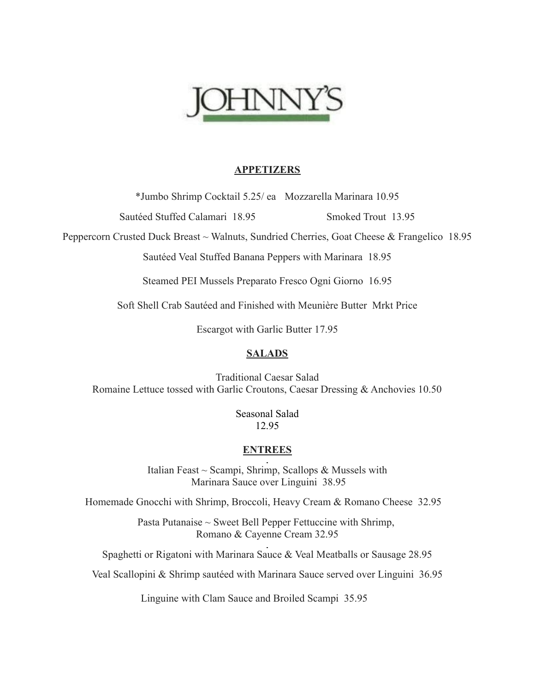

#### **APPETIZERS**

\*Jumbo Shrimp Cocktail 5.25/ ea Mozzarella Marinara 10.95

Sautéed Stuffed Calamari 18.95 Smoked Trout 13.95

Peppercorn Crusted Duck Breast ~ Walnuts, Sundried Cherries, Goat Cheese & Frangelico 18.95

Sautéed Veal Stuffed Banana Peppers with Marinara 18.95

Steamed PEI Mussels Preparato Fresco Ogni Giorno 16.95

Soft Shell Crab Sautéed and Finished with Meunière Butter Mrkt Price

Escargot with Garlic Butter 17.95

# **SALADS**

Traditional Caesar Salad Romaine Lettuce tossed with Garlic Croutons, Caesar Dressing & Anchovies 10.50

> Seasonal Salad 12.95

# **ENTREES**

Italian Feast ~ Scampi, Shrimp, Scallops & Mussels with Marinara Sauce over Linguini 38.95

Homemade Gnocchi with Shrimp, Broccoli, Heavy Cream & Romano Cheese 32.95

Pasta Putanaise  $\sim$  Sweet Bell Pepper Fettuccine with Shrimp, Romano & Cayenne Cream 32.95

Spaghetti or Rigatoni with Marinara Sauce & Veal Meatballs or Sausage 28.95

Veal Scallopini & Shrimp sautéed with Marinara Sauce served over Linguini 36.95

Linguine with Clam Sauce and Broiled Scampi 35.95